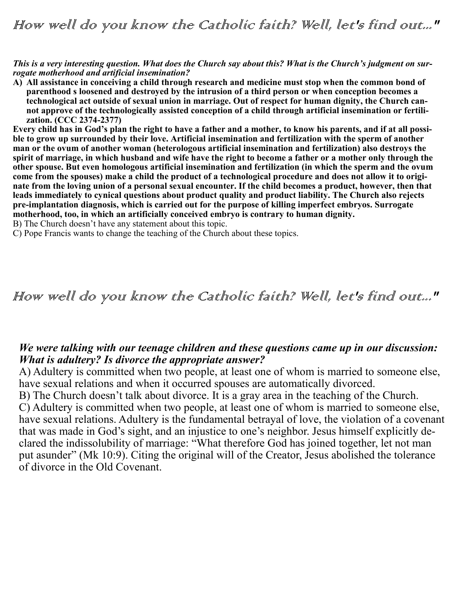How well do you know the Catholic faith? Well, let's find out..."

*This is a very interesting question. What does the Church say about this? What is the Church's judgment on surrogate motherhood and artificial insemination?*

**A) All assistance in conceiving a child through research and medicine must stop when the common bond of parenthood s loosened and destroyed by the intrusion of a third person or when conception becomes a technological act outside of sexual union in marriage. Out of respect for human dignity, the Church cannot approve of the technologically assisted conception of a child through artificial insemination or fertilization. (CCC 2374-2377)**

**Every child has in God's plan the right to have a father and a mother, to know his parents, and if at all possible to grow up surrounded by their love. Artificial insemination and fertilization with the sperm of another man or the ovum of another woman (heterologous artificial insemination and fertilization) also destroys the spirit of marriage, in which husband and wife have the right to become a father or a mother only through the other spouse. But even homologous artificial insemination and fertilization (in which the sperm and the ovum come from the spouses) make a child the product of a technological procedure and does not allow it to originate from the loving union of a personal sexual encounter. If the child becomes a product, however, then that leads immediately to cynical questions about product quality and product liability. The Church also rejects pre-implantation diagnosis, which is carried out for the purpose of killing imperfect embryos. Surrogate motherhood, too, in which an artificially conceived embryo is contrary to human dignity.**

B) The Church doesn't have any statement about this topic.

C) Pope Francis wants to change the teaching of the Church about these topics.

## How well do you know the Catholic faith? Well, let's find out..."

### *We were talking with our teenage children and these questions came up in our discussion: What is adultery? Is divorce the appropriate answer?*

A) Adultery is committed when two people, at least one of whom is married to someone else, have sexual relations and when it occurred spouses are automatically divorced.

B) The Church doesn't talk about divorce. It is a gray area in the teaching of the Church. C) Adultery is committed when two people, at least one of whom is married to someone else, have sexual relations. Adultery is the fundamental betrayal of love, the violation of a covenant that was made in God's sight, and an injustice to one's neighbor. Jesus himself explicitly declared the indissolubility of marriage: "What therefore God has joined together, let not man put asunder" (Mk 10:9). Citing the original will of the Creator, Jesus abolished the tolerance of divorce in the Old Covenant.